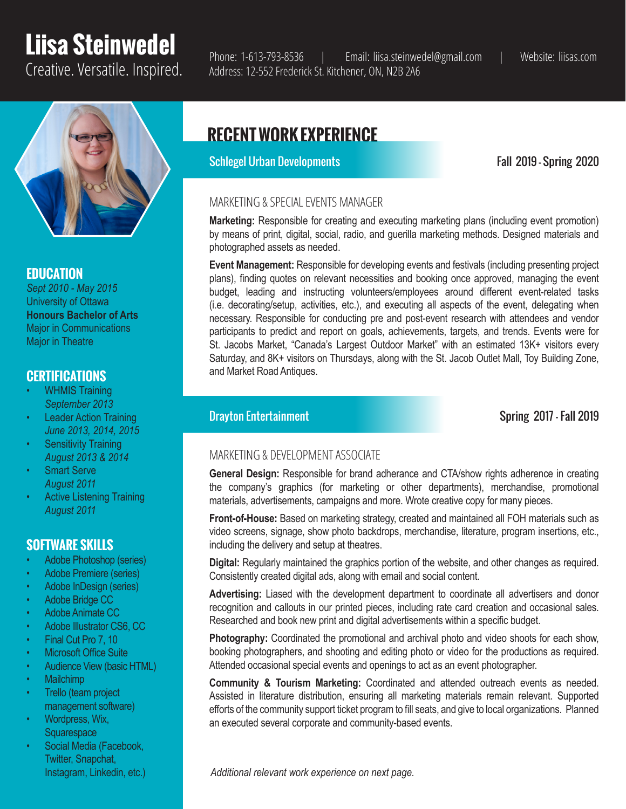# **Liisa Steinwedel**



## **EDUCATION**

*Sept 2010 - May 2015* University of Ottawa **Honours Bachelor of Arts** Major in Communications Major in Theatre

## **CERTIFICATIONS**

- WHMIS Training *September 2013*
- **Leader Action Training** *June 2013, 2014, 2015*
- **Sensitivity Training** *August 2013 & 2014*
- **Smart Serve** *August 2011*
- Active Listening Training *August 2011*

## **SOFTWARE SKILLS**

- Adobe Photoshop (series)
- Adobe Premiere (series)
- Adobe InDesign (series)
- Adobe Bridge CC
- Adobe Animate CC
- Adobe Illustrator CS6, CC
- Final Cut Pro 7, 10
- **Microsoft Office Suite**
- Audience View (basic HTML)
- Mailchimp
- Trello (team project management software)
- Wordpress, Wix, **Squarespace**
- Social Media (Facebook, Twitter, Snapchat, Instagram, Linkedin, etc.)

Creative. Versatile. Inspired. Phone: 1-613-793-8536 | Email: liisa.steinwedel@gmail.com | Website: liisas.com Address: 12-552 Frederick St. Kitchener, ON, N2B 2A6

## **RECENT WORK EXPERIENCE**

Schlegel Urban Developments Fall 2019 - Spring 2020

## MARKETING & SPECIAL EVENTS MANAGER

**Marketing:** Responsible for creating and executing marketing plans (including event promotion) by means of print, digital, social, radio, and guerilla marketing methods. Designed materials and photographed assets as needed.

**Event Management:** Responsible for developing events and festivals (including presenting project plans), finding quotes on relevant necessities and booking once approved, managing the event budget, leading and instructing volunteers/employees around different event-related tasks (i.e. decorating/setup, activities, etc.), and executing all aspects of the event, delegating when necessary. Responsible for conducting pre and post-event research with attendees and vendor participants to predict and report on goals, achievements, targets, and trends. Events were for St. Jacobs Market, "Canada's Largest Outdoor Market" with an estimated 13K+ visitors every Saturday, and 8K+ visitors on Thursdays, along with the St. Jacob Outlet Mall, Toy Building Zone, and Market Road Antiques.

**Drayton Entertainment** Spring 2017 - Fall 2019

## MARKETING & DEVELOPMENT ASSOCIATE

**General Design:** Responsible for brand adherance and CTA/show rights adherence in creating the company's graphics (for marketing or other departments), merchandise, promotional materials, advertisements, campaigns and more. Wrote creative copy for many pieces.

**Front-of-House:** Based on marketing strategy, created and maintained all FOH materials such as video screens, signage, show photo backdrops, merchandise, literature, program insertions, etc., including the delivery and setup at theatres.

**Digital:** Regularly maintained the graphics portion of the website, and other changes as required. Consistently created digital ads, along with email and social content.

**Advertising:** Liased with the development department to coordinate all advertisers and donor recognition and callouts in our printed pieces, including rate card creation and occasional sales. Researched and book new print and digital advertisements within a specific budget.

**Photography:** Coordinated the promotional and archival photo and video shoots for each show, booking photographers, and shooting and editing photo or video for the productions as required. Attended occasional special events and openings to act as an event photographer.

**Community & Tourism Marketing:** Coordinated and attended outreach events as needed. Assisted in literature distribution, ensuring all marketing materials remain relevant. Supported efforts of the community support ticket program to fill seats, and give to local organizations. Planned an executed several corporate and community-based events.

*Additional relevant work experience on next page.*